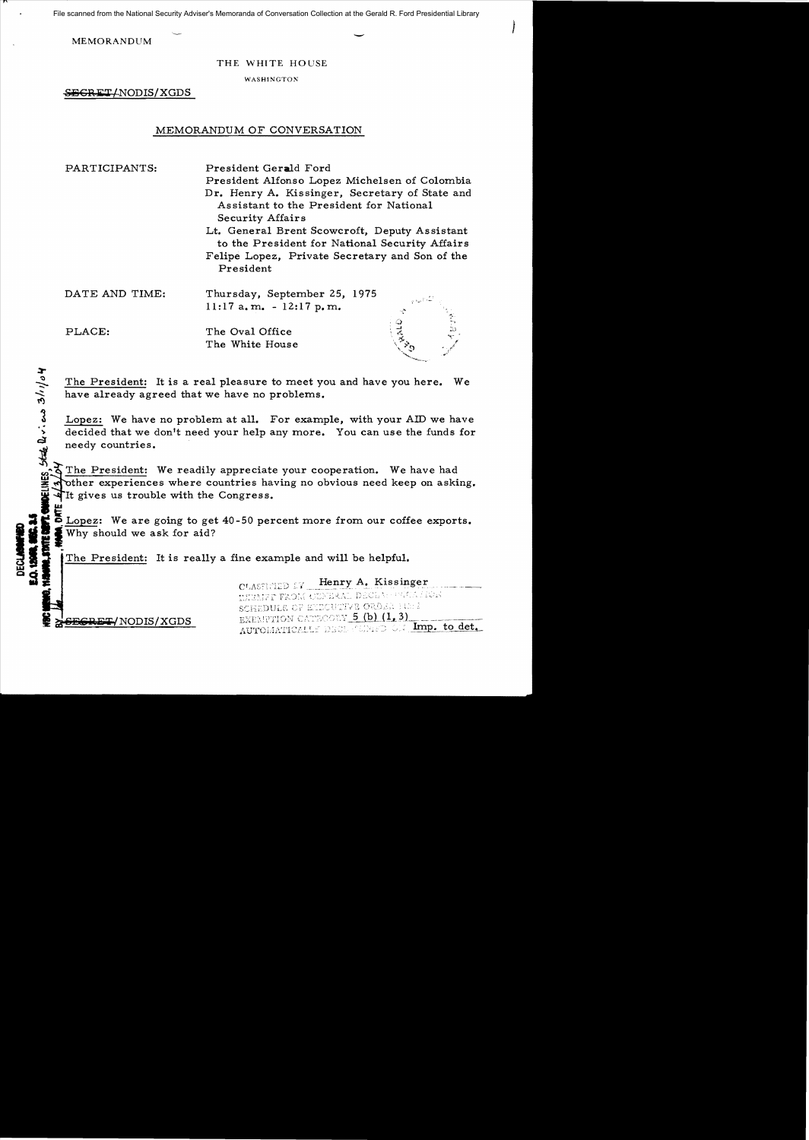File scanned from the National Security Adviser's Memoranda of Conversation Collection at the Gerald R. Ford Presidential Library

MEMORANDUM  $\overline{\phantom{a}}$ 

THE WHITE HOUSE

**WASHINGTON** 

SECRET/NODIS/XGDS

### MEMORANDUM OF CONVERSATION

PARTICIPANTS: President Gerald Ford President Alfonso Lopez Michelsen of Colombia Dr. Henry A. Kissinger, Secretary of State and Assistant to the President for National Security Affairs Lt. General Brent Scowcroft, Deputy Assistant to the President for National Security Affairs Felipe Lopez, Private Secretary and Son of the President DATE AND TIME: Thursday, September 25, 1975 11:17 a.m. - 12:17 p.m.

PLACE: The Oval Office The White House

The President: It is a real pleasure to meet you and have you here. We have already agreed that we have no problems.

Lopez: We have no problem at all. For example, with your AID we have decided that we don't need your help any more. You can use the funds for needy countries. decided that we don't need your help any more. You can use the funds for needy countries.

The President: We readily appreciate your cooperation. We have had other experiences where countries having no obvious need keep on asking.<br>It gives us trouble with the Congress.

**E** Lopez: We are going to get 40-50 percent more from our coffee exports.<br> **1** Why should we ask for aid?<br> **1** The President: It is really a fine example and will be helpful.

CLASSETIED EY Henry A. Kissinger SCHEDULE OF EMECUTIVE ORDER HE: 2  $RET/ NODIS/XGDS$  EXEMPTION CATECORY  $5$  (b)  $(1, 3)$ AUTOMATICALLY DECLARING ON Imp. to det.

**DELINES** State  $\mathbb{Q}$  . can  $3/10$  of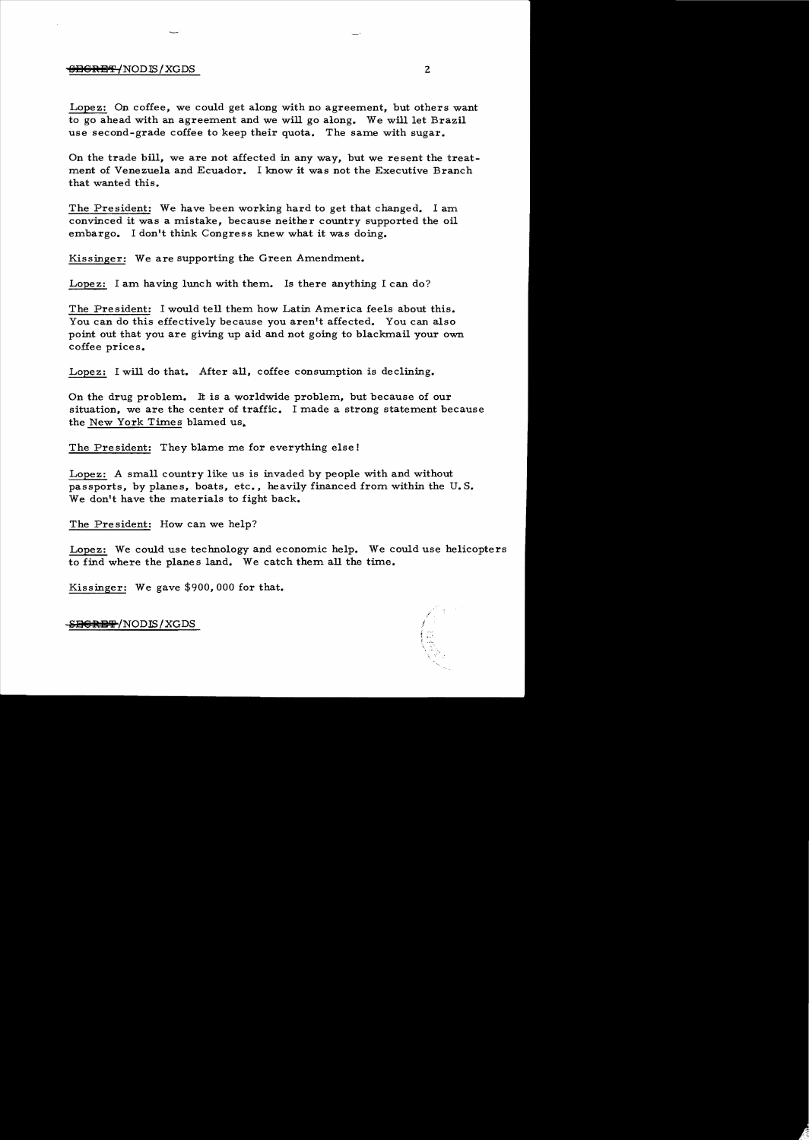### <del>SECRET/</del>NODIS/XGDS 2

Lopez: On coffee, we could get along with no agreement, but others want to go ahead with an agreement and we will go along. We will let Brazil use second-grade coffee to keep their quota. The same with sugar.

On the trade bill, we are not affected in any way, but we resent the treatment of Venezuela and Ecuador. I know it was not the Executive Branch that wanted this.

The President: We have been working hard to get that changed. I am convinced it was a mistake, because neither country supported the oil embargo. I don't think Congress knew what it was doing.

Kissinger: We are supporting the Green Amendment.

Lopez: I am having lunch with them. Is there anything I can do?

The President: I would tell them how Latin America feels about this. You can do this effectively because you aren't affected. You can also point out that you are giving up aid and not going to blackmail your own coffee prices.

Lopez: I will do that. After all, coffee consumption is declining.

On the drug problem. It is a worldwide problem, but because of our situation, we are the center of traffic. I made a strong statement because the New York Times blamed us..

The President: They blame me for everything else!

Lopez: A small country like us is invaded by people with and without passports, by planes, boats, etc., heavily financed from within the U. S. We don't have the materials to fight back.

The President: How can we help?

Lopez: We could use technology and economic help. We could use helicopters to find where the planes land. We catch them all the time.

Kissinger: We gave \$900,000 for that.

<del>SBCRET</del>/NODIS/XGDS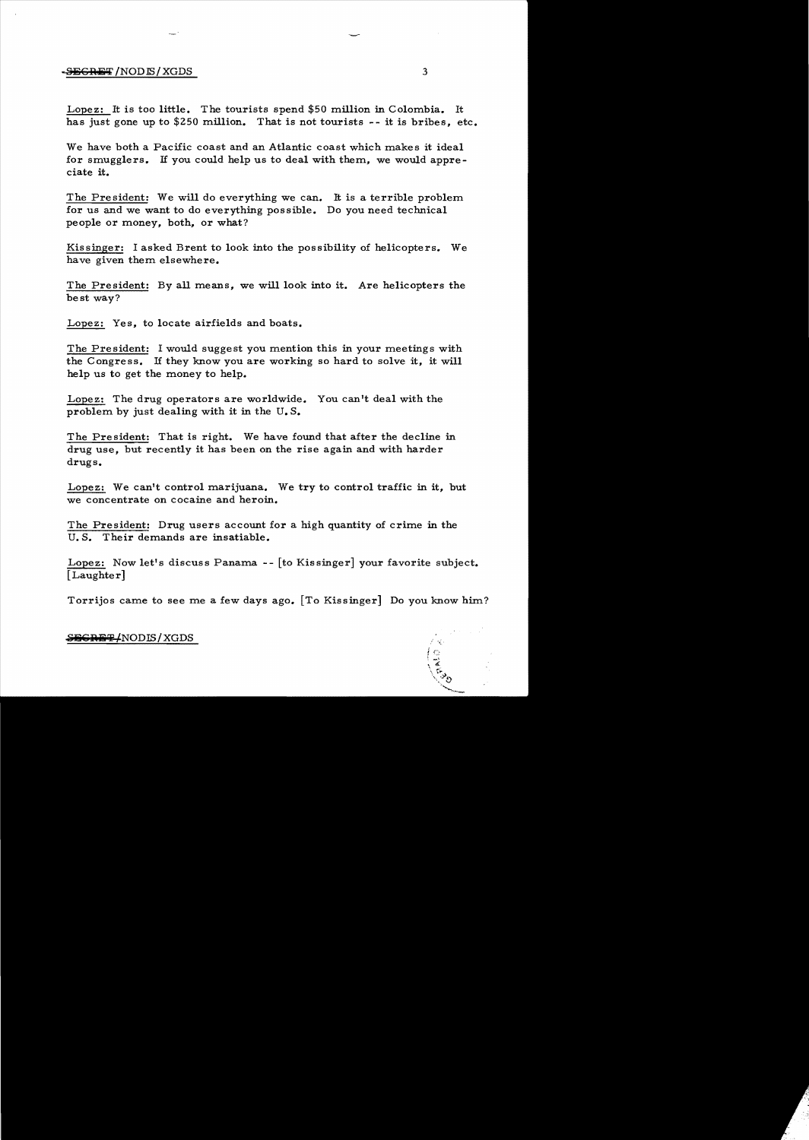### -<del>SECRET</del> /NODIS/XGDS 3

Lopez: It is too little. The tourists spend  $$50$  million in Colombia. It has just gone up to \$250 million. That is not tourists  $-$ - it is bribes, etc.

We have both a Pacific coast and an Atlantic coast which makes it ideal for smugglers. If you could help us to deal with them, we would appreciate it.

The President: We will do everything we can. It is a terrible problem. for us and we want to do everything possible. Do you need technical people or money, both, or what?

Kissinger: I asked Brent to look into the possibility of helicopters. We have given them elsewhere.

The President: By all means, we will look into it. Are helicopters the best way?

Lopez: Yes, to locate airfields and boats.

The President: I would suggest you mention this in your meetings with the Congress. If they know you are working so hard to solve it, it will help us to get the money to help.

Lopez: The drug operators are worldwide. You can't deal with the problem. by just dealing with it in the U. S.

The President: That is right. We have found that after the decline in drug use, but recently it has been on the rise again and with harder drugs.

Lopez: We can't control marijuana. We try to control traffic in it, but we concentrate on cocaine and heroin.

The President: Drug users account for a high quantity of crime in the U.S. Their demands are insatiable.

Lopez: Now let's discuss Panama -- [to Kissinger] your favorite subject. [Laughter]

Torrijos came to see me a few days ago. [To Kissinger] Do you know him?

## $S$ <del>EGRET</del>/NODIS/XGDS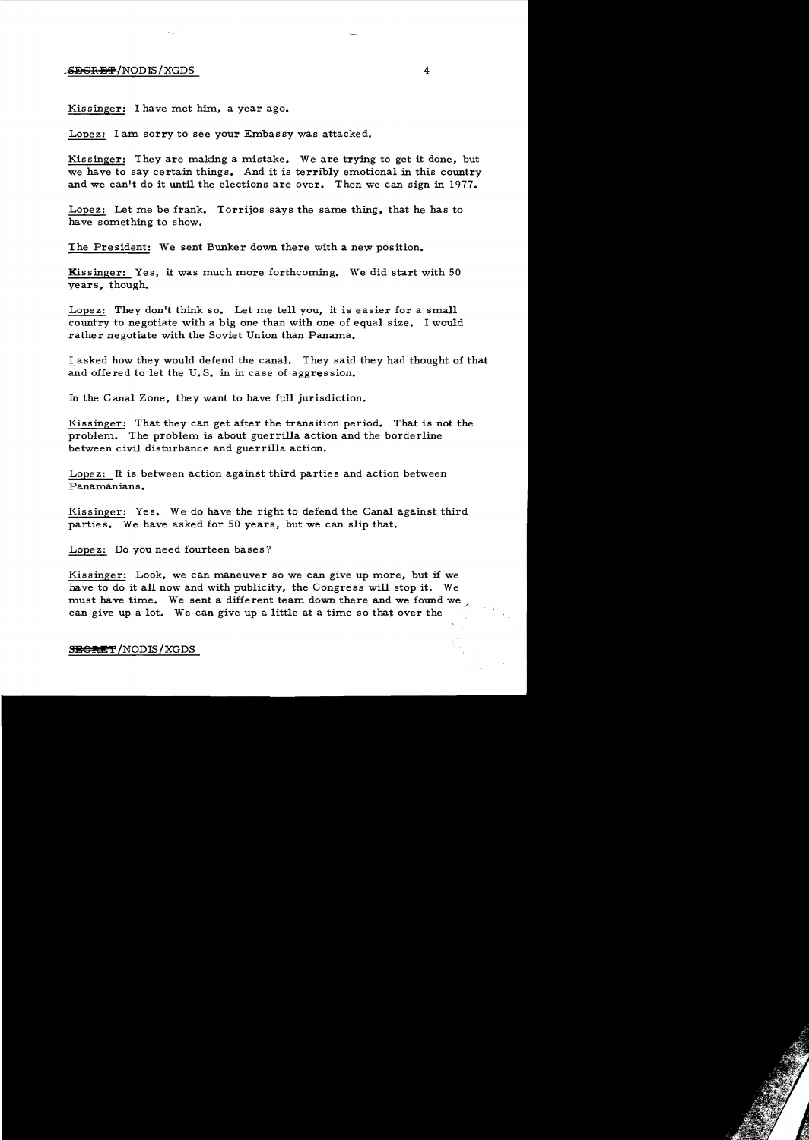### SECRET/NODIS/XGDS

Kissinger: I have met him, a year ago.

Lopez: I am sorry to see your Embassy was attacked.

Kissinger: They are making a mistake. We are trying to get it done, but we have to say certain things. And it is terribly emotional in this country and we can't do it until the elections are over. Then we can sign in 1977.

Lopez: Let me be frank. Torrijos says the same thing, that he has to have something to show.

The President: We sent Bunker down there with a new position.

Kissinger: Yes, it was much more forthcoming. We did start with 50 years, though.

Lopez: They don't think so. Let me tell you, it is easier for a small country to negotiate with a big one than with one of equal size. I would rather negotiate with the Soviet Union than Panama.

I asked how they would defend the canal. They said they had thought of that and offered to let the U.S. in in case of aggression.

In the Canal Zone, they want to have full jurisdiction.

Kissinger: That they can get after the transition period. That is not the problem. The problem is about guerrilla action and the borderline between civil disturpance and guerrilla action.

Lopez: It is between action against third parties and action between Panamanians.

Kissinger: Yes. We do have the right to defend the Canal against third parties. We have asked for 50 years, but we can slip that.

Lopez: Do you need fourteen bases?

Kissinger: Look, we can maneuver so we can give up more, but if we have to do it all now and with publicity, the Congress will stop it. We must have time. We sent a different team down there and we found we can give up a lot. We can give up a little at a time so that over the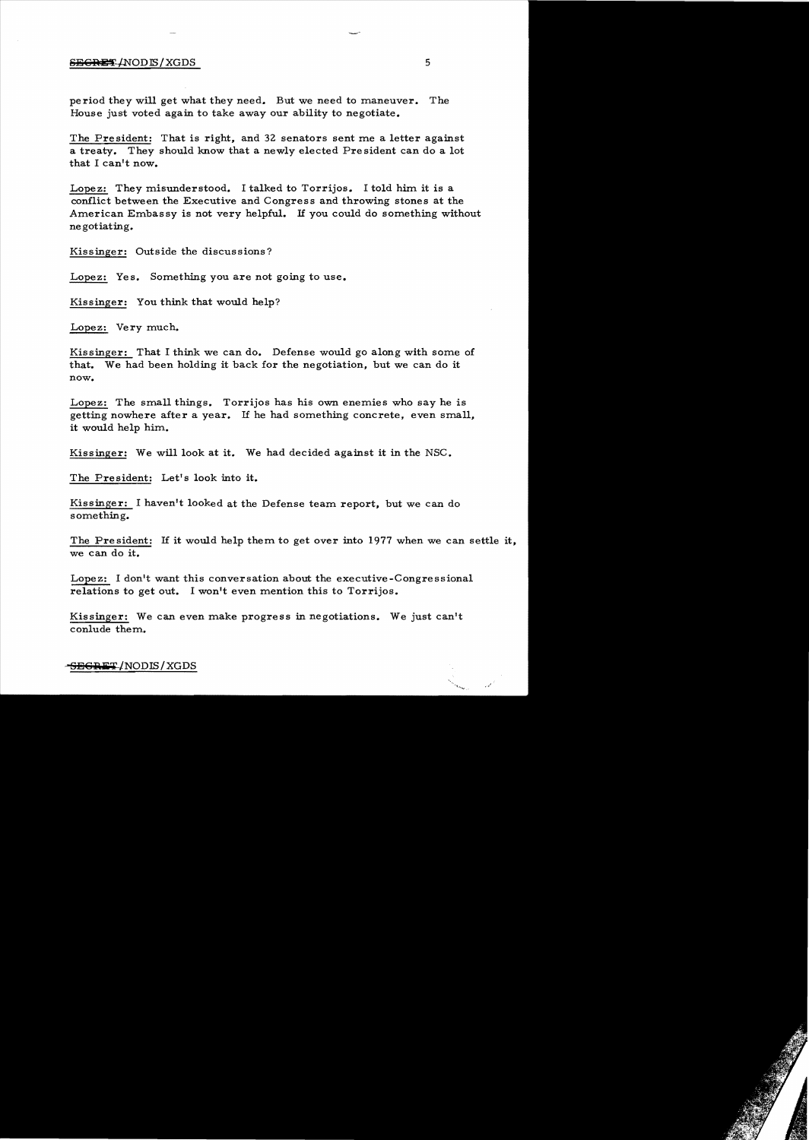# S<del>EGRET</del>/NODIS/XGDS 5

period they will get what they need. But we need to maneuver. The House just voted again to take away our ability to negotiate.

The President: That is right, and 32 senators sent me a letter against a treaty. They should know that a newly elected President can do a lot that I can't now.

Lopez: They misunderstood. I talked to Torrijos. I told him it is a conflict between the Executive and Congress and throwing stones at the American Embas sy is not very helpful. If you could do something without negotiating.

Kissinger: Outside the discussions?

Lopez: Yes. Something you are not going to use.

Kissinger: You think that would help?

Lopez: Very much.

Kissinger: That I think we can do. Defense would go along with some of that. We had been holding it back for the negotiation, but we can do it now.

Lopez: The small things. Torrijos has his own enemies who say he is getting nowhere after a year. If he had something concrete, even small, it would help him.

Kissinger: We will look at it. We had decided against it in the NSC.

The President: Let's look into it.

Kissinger: I haven't looked at the Defense team report, but we can do something.

The President: If it would help them to get over into 1977 when we can settle it, we can do it.

Lopez: I don't want this conversation about the executive-Congressional relations to get out. I won't even mention this to Torrijos.

Kissinger: We can even make progress in negotiations. We just can't conlude them.

<del>SEGRET</del>/NODIS/XGDS

 $\omega^{t^2}$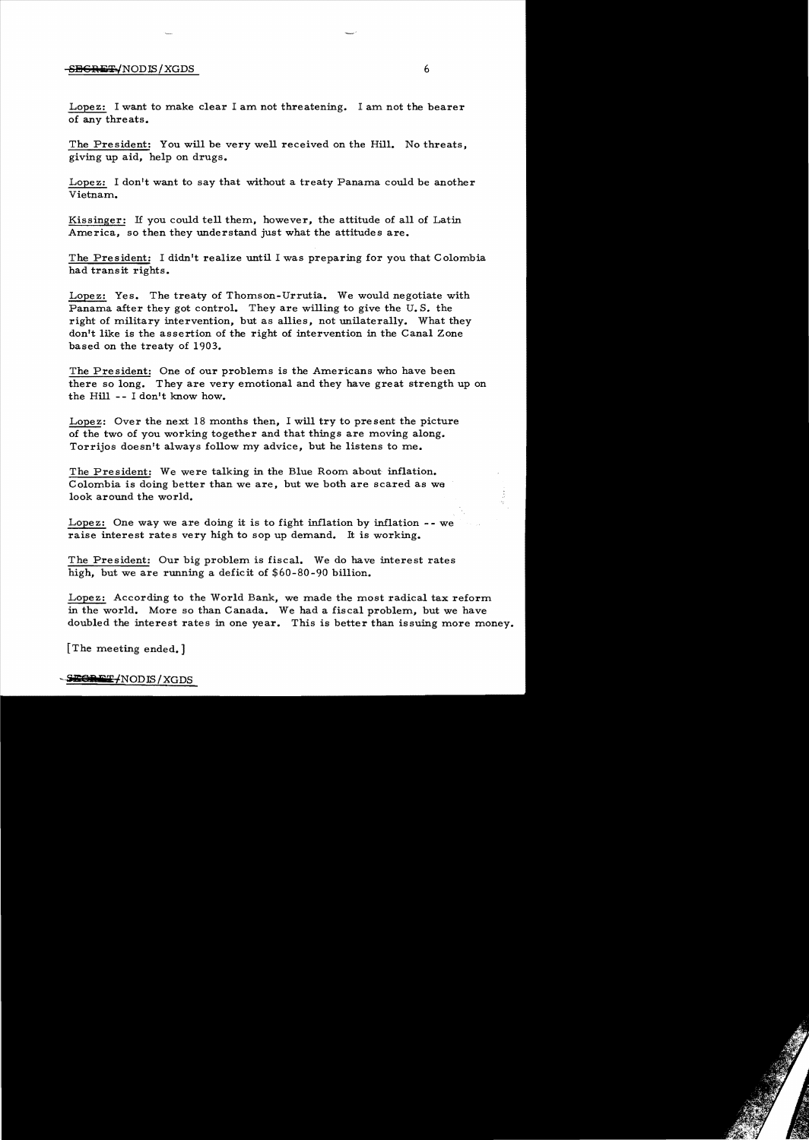#### $-$ <del>SECRET /</del>NODIS/XGDS 6

Lopez: I want to make clear I am not threatening. I am not the bearer of any threats.

The President: You will be very well received on the Hill. No threats, giving up aid, help on drugs.

Lopez: I don't want to say that without a treaty Panama could be another Vietnam.

Kissinger: If you could tell them, however, the attitude of a11 of Latin America, so then they understand just what the attitudes are.

The President: I didn't realize until I was preparing for you that Colombia had transit rights.

Lopez: Yes. The treaty of Thomson-Urrutia. We would negotiate with Panama after they got control. They are willing to give the U.S. the right of military intervention, but as allies, not unilaterally. What they don't like is the assertion of the right of intervention in the Canal Zone based on the treaty of 1903.

The President: One of our problems is the Americans who have been there so long. They are very emotional and they have great strength up on the Hill **--** I don't know how.

Lopez: Over the next 18 months then, I will try to present the picture of the two of you working together and that things are moving along. Torrijos doesn't always follow my advice, but he listens to me.

The President: We were talking in the Blue Room about inflation. Colombia is doing better than we are, but we both are scared as we look around the world.

Lopez: One way we are doing it is to fight inflation by inflation -- we raise interest rates very high to sop up demand. It is working.

The President: Our big problem is fiscal. We do have interest rates high, but we are running a deficit of \$60-80-90 bi11ion.

Lopez: According to the World Bank, we made the most radical tax reform in the world. More so than Canada. We had a fiscal problem, but we have doubled the interest rates in one year. This is better than issuing more money.

[The meeting ended.]

EGAET/NODIS/XGDS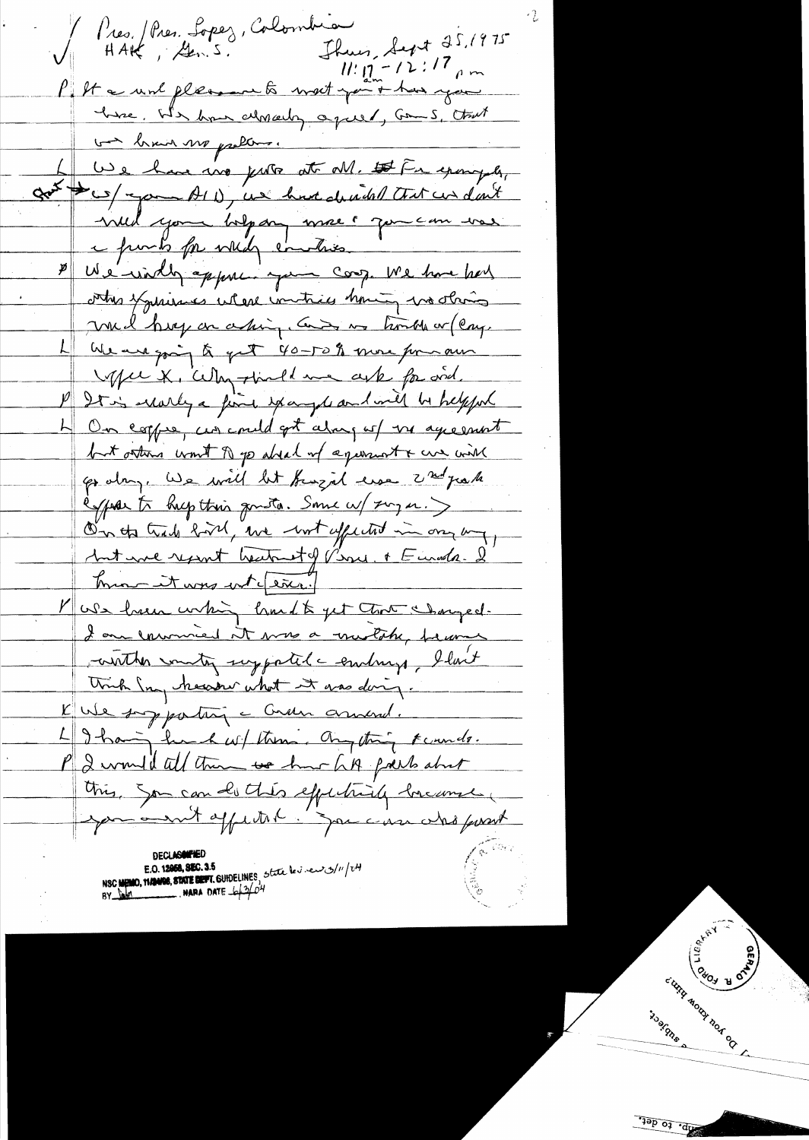Pres. / Pres. Lopez, Colombia Thuis, Sept 25, 1975  $HAK$ ,  $\angle 2mS$ .  $11: \int_{2m}^{2} -12:17$  pm P. It a world fleasant to meet you + has you here. We have almaly agues, Comes, that ba brain me problems. We have no just at M. It Fr example, got tes/ pour AID, use have developed that us don't will you holp any more & you can ver e funts for while enatries We windly appear you coop. We have had contres fyminismes where invitices having wo obring mil hoy on asking, Can in horsh or (eng. La We we going to get 40-50% more for aus M/w X, Why tired me ask for and. P Dt is worky a fine spayer and will be helpful 4 On coppe, un could get along up us agreement but others won't A go absed of agenciat & we will go day. We will let furgal use 2 mil juste espose to hup this goutto. Some w/ xmg a.) On the track hold, we wit appeared in one may <u>Ant une report heatent of Pine. A Euroda. I</u> mon it was wet fixed Mose have whin hand to get that sharged. Lon comment it was a mulche, became conther country supported a embrange, I last think In heaster what it was doing. Kute son partin and. 49 hair hund wil them. Any thing Faunds. P 2 would all them we have hit prevent this, Son can do thes effectively breamse, por a suit appetent in your case who passet NSC MEMO, MANNE, STATE BEFT, GUIDELINES, State les revolutions/11/24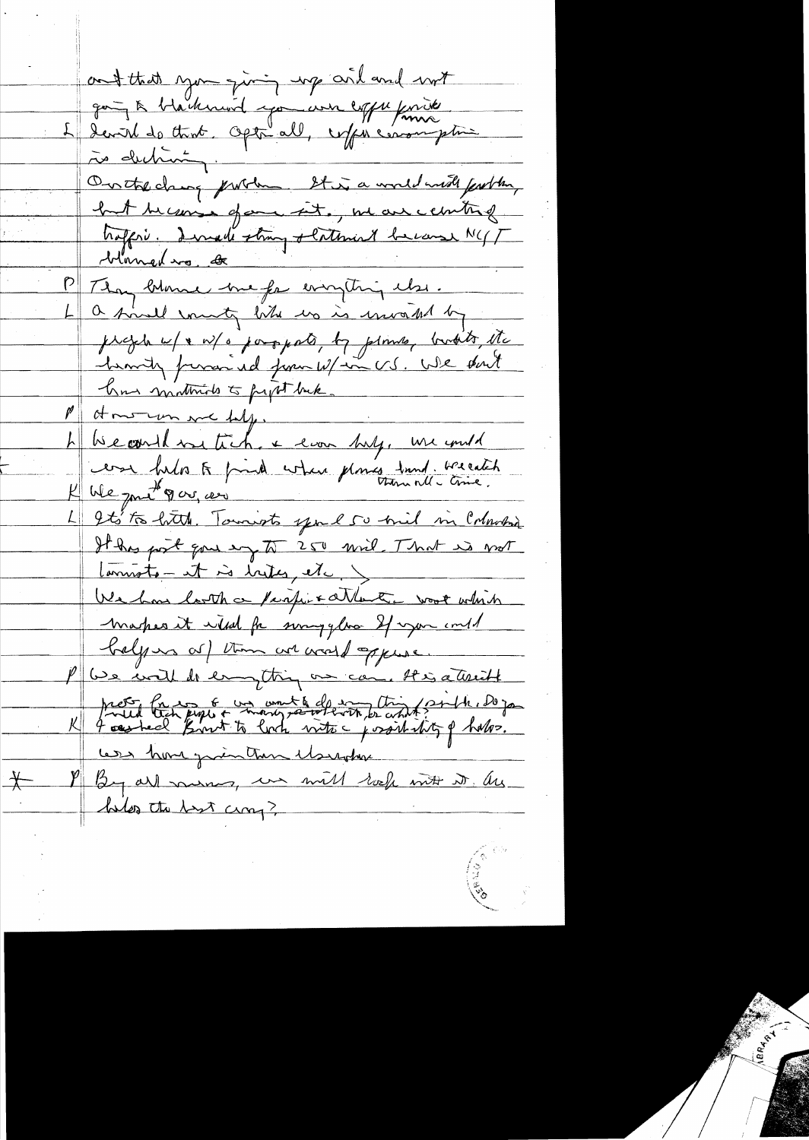ont that you giving up are and not goug à blackmond jou une expressive rès deching. On the change problem It is a world most fearthy but because of ence into , we are conting hoffri. Dernede strong slatenint because NGT P Thay blame he for everything the. a final munity like us is unvaked by projete u/ + w/ o posspato, by plimes, bushits etc. hearty frence id from W/in US. We don't has matticals to people back. M at more more help. h become we tick + evan bulg, we und cesa helos te prind when planes dund. We eatch K We jout 9 00, 000 It's to hitch. Towards you I so mil in Coloradoria It has post gone my to 250 mil . That is not Commete - it is hites, etc. We has look a perfire attent work which Markes it wild for sorryglas If you intel belgions of them are world oppure. P We will be empting on can. His attricht prot fait paper mongratif de monte contrat de 10 jan Les home printen Marchan I By all money, we will reef with it . Are  $+$ helps the bast cross?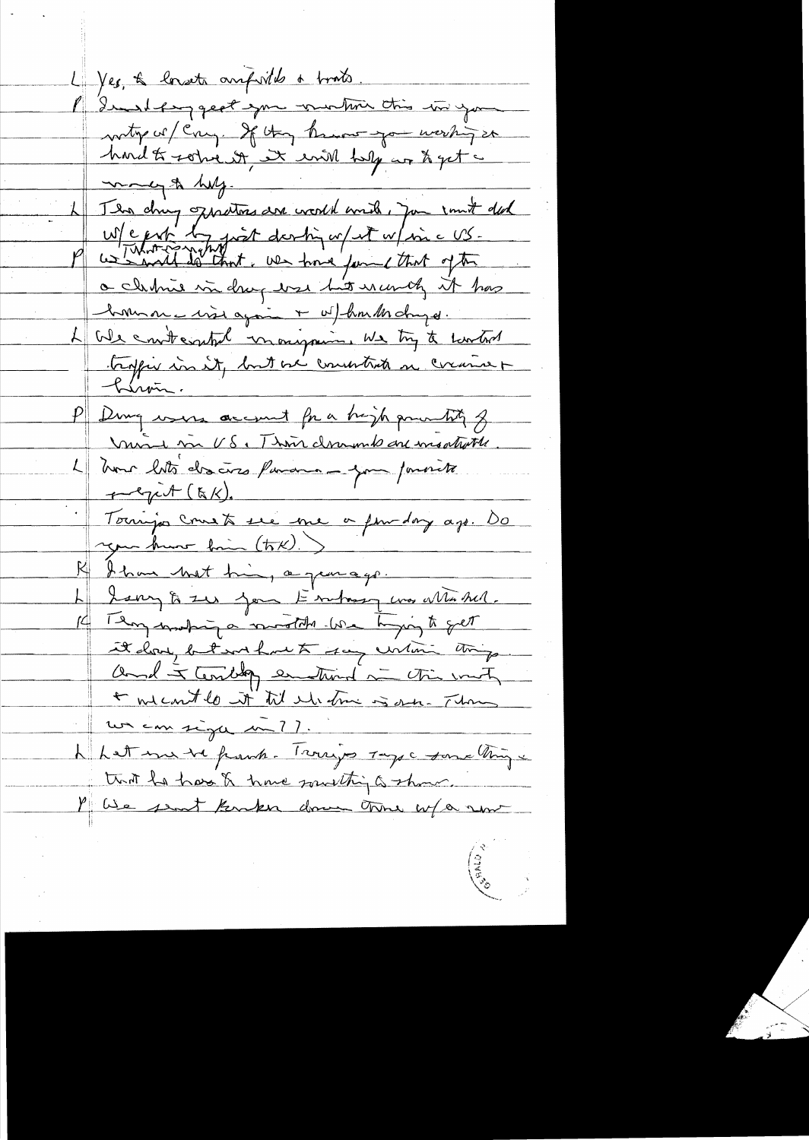L'yes, & longets amporté a trats. I dinderggest you winton this in your naty or / Cong. If they know you werking so hand to some of se en holy are to get a clubrie in drug use hit wanty it has <u> hommon is visi again + w/hondholmyd.</u> L We contempl mongoing we try to control tropis in it, but we construct a corane + <u> Piron.</u> P Dung were account for a high powerting of moi m US, Thou domand an montrate. L'Inour bots des cères favores - your pourrite ngen kuns him (tok).) I have that his, a gen ago. Larry to zer jour Enchange was Maked. 14 Temporation investible love toging to get it don, but without say untime things and to terribly entered in this with un consigué nu ??.<br>L'est me ve parte. Trouvi par ragge son a trois à that he has & have something a show. Mille sent Kenker down tome w/a now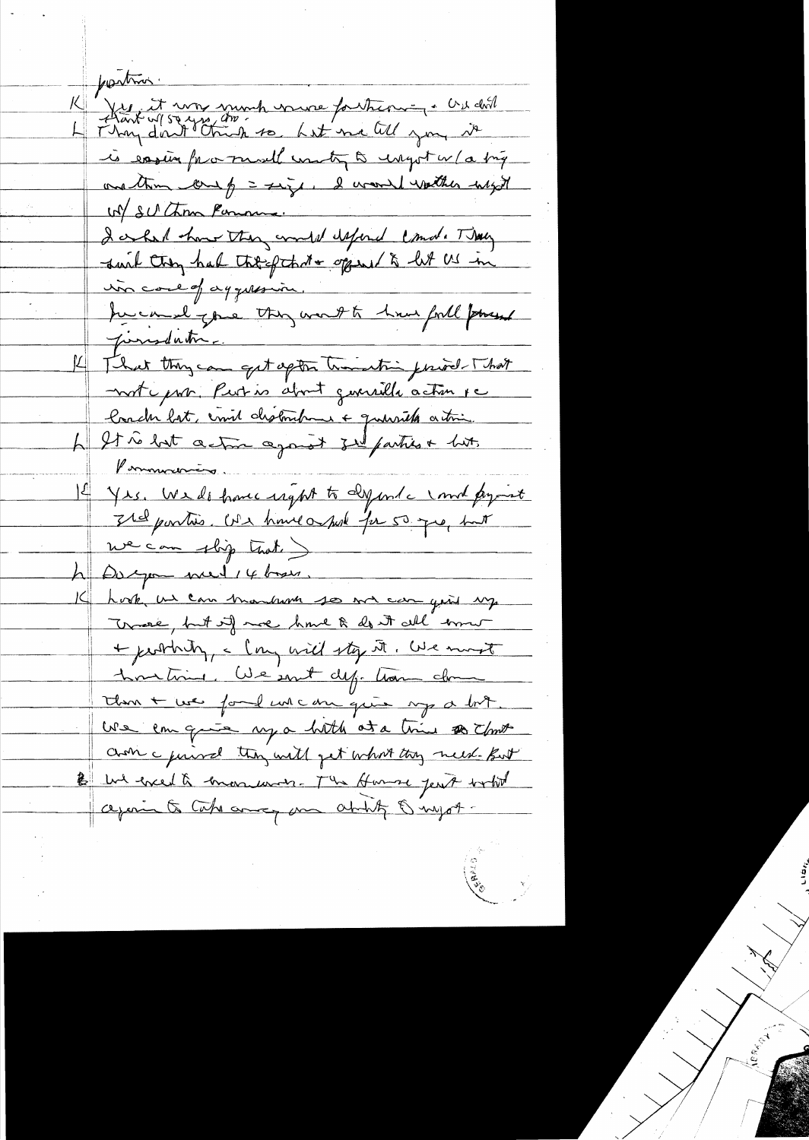postin Les it was sumh vaure fortune en cridit is easing for must unty a ungot w/a big unation come of = size, I would watcher with W SUChom Penning. I only har the counter efford come They in core of agguesia. the council your they won't to have forth powerf jurisdation. K That they can get apton transition private That motiquer. Putio about guerrille action pe londer lot, envis distinctement a querille action.<br>4 It à lost action agos at zu parties + hit. Pommenting I Yrs. We do have ught to dyinde und project It for this. We have a post for 50 pm but we can slip trot. he Dospon med 14 bases. hook us can transform so me can give up Track, but if we have & don't all error + justing, a long will sty it. We most hometime. We sont def. tram close than + we ford un can quie mp a bot. We can quie my a hoth at a trie to choose choic guird they will get what they need But B we event a monument - The Home jest with again to take any am ability & myst-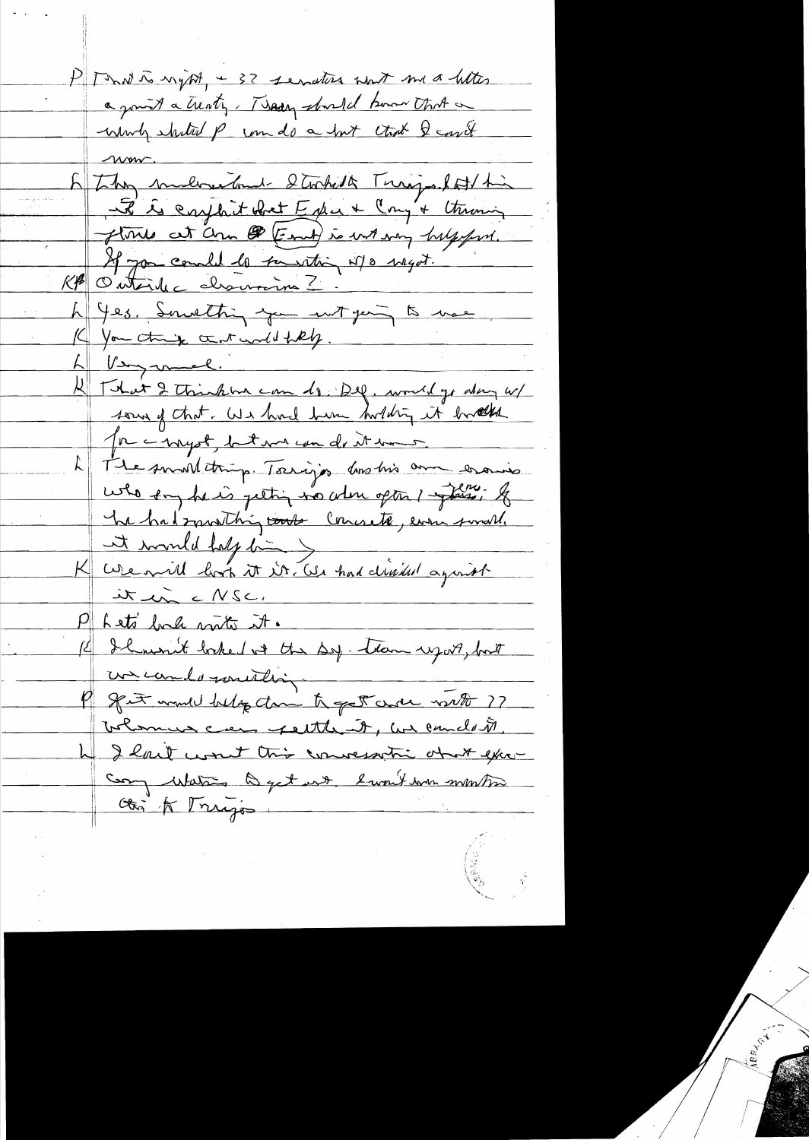PT Tout to night, + 32 sendters with me a heter a joint a trenty, They should have that a which shited p com do a but that I could E They makes had stocked Turips lot his it is carphitabret Edu & Cong'+ Utraning flories at ann @ (Eart) is wit any halfofort. If you could to suresting w/o magot. KA Outsile charmina ? h Yes, Smathing you wit gers to use. K You think that will filly. h Verymel. 11 That I think ha can do Del, would go along w/ sous of that. We have him holding it bookh Me innyst, but me un de it mes The small thing. Torrigos los his am erais who say he is jetting no when often ! flow. If The had smoothing touts Counsete, even small. K We will half time you had divided against it in cNSC. Pheto back with it. Il won't baked with the Sep. tron uport, but uncondo million get would belog dam to get and with ?? Toleman can feither it, we candot 4 I love won't this conversation of the excel compare me humit and type and we for Obj & Trigo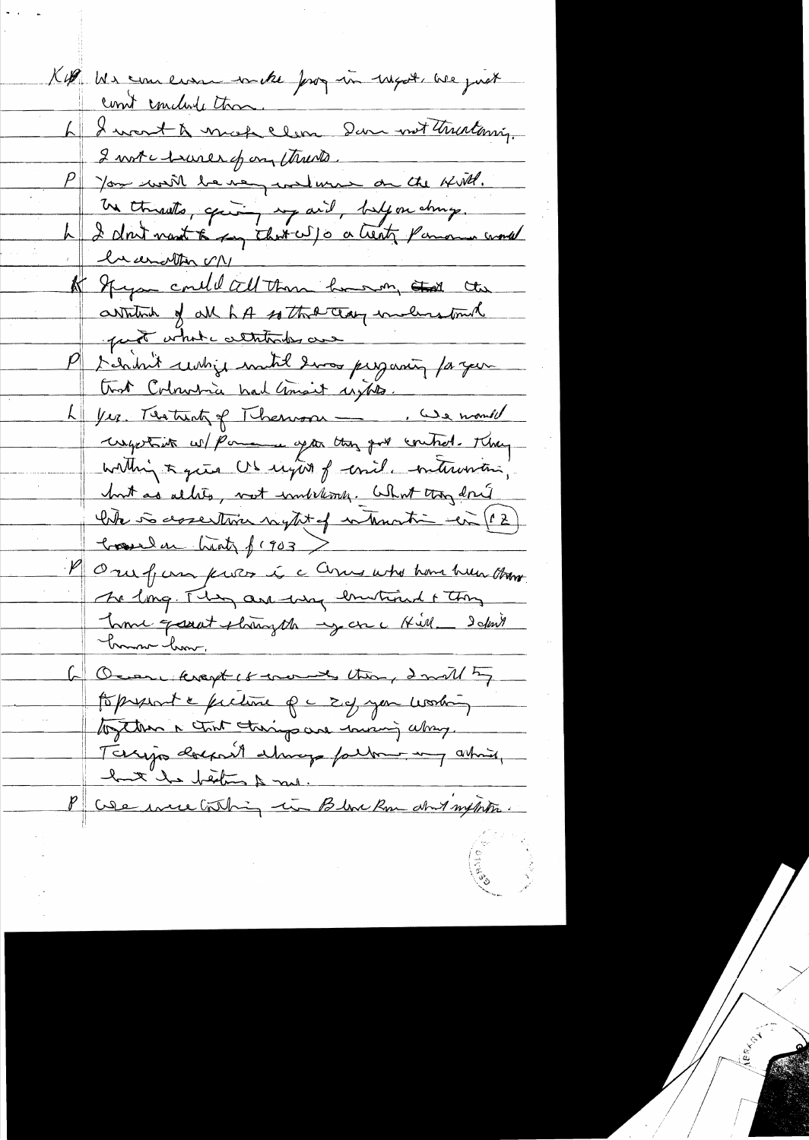K4 Us comers mette pay in rapole are just 6 I want & mach elen Dan mot thurtoniq. 2 not chares of on the s P you will be very welwire on the Hill. Un throats, après, avid, belfon chang. le cerather VIV A Spym could cell than how my that the artition of all hot so that clay includes touch part what altitudes are P I have why must have present to you trot Colombia had mait unto. L Ver. Testint of Thermon \_ Be month useption w/ Pomence apter thing got control. They within a give US unit of comil meterinantina, but as alles, not wonderfung. What they don't the is assesting night of internation with (12) Comeda high f (903) M Oru fam puter i a Come who have have them The long. They are way lowtimed + thing Lome garat phongsh -y are Kill - Idm't <u>bonne hom.</u> Ocean krapt of months thing I will by topspart & fuction of a 2 of your working together a tout therings are worsing along. Terrijs dockent almeg fallen ing ashuri,